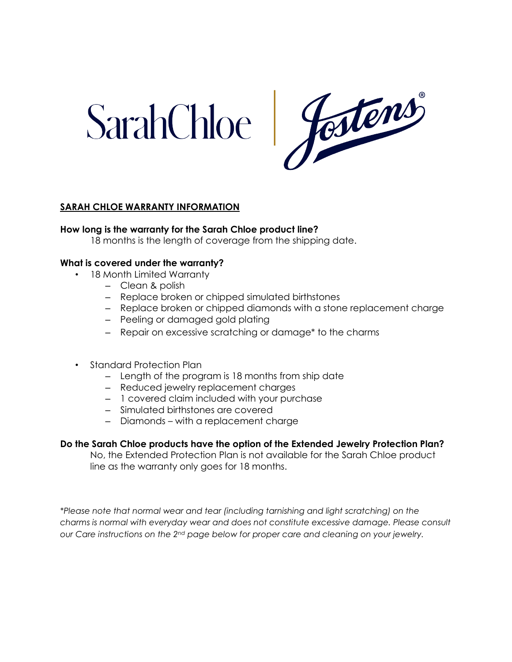

# **SARAH CHLOE WARRANTY INFORMATION**

## **How long is the warranty for the Sarah Chloe product line?**

18 months is the length of coverage from the shipping date.

## **What is covered under the warranty?**

- 18 Month Limited Warranty
	- Clean & polish
	- Replace broken or chipped simulated birthstones
	- Replace broken or chipped diamonds with a stone replacement charge
	- Peeling or damaged gold plating
	- Repair on excessive scratching or damage\* to the charms
- Standard Protection Plan
	- Length of the program is 18 months from ship date
	- Reduced jewelry replacement charges
	- 1 covered claim included with your purchase
	- Simulated birthstones are covered
	- Diamonds with a replacement charge

# **Do the Sarah Chloe products have the option of the Extended Jewelry Protection Plan?**

No, the Extended Protection Plan is not available for the Sarah Chloe product line as the warranty only goes for 18 months.

*\*Please note that normal wear and tear (including tarnishing and light scratching) on the charms is normal with everyday wear and does not constitute excessive damage. Please consult our Care instructions on the 2nd page below for proper care and cleaning on your jewelry.*